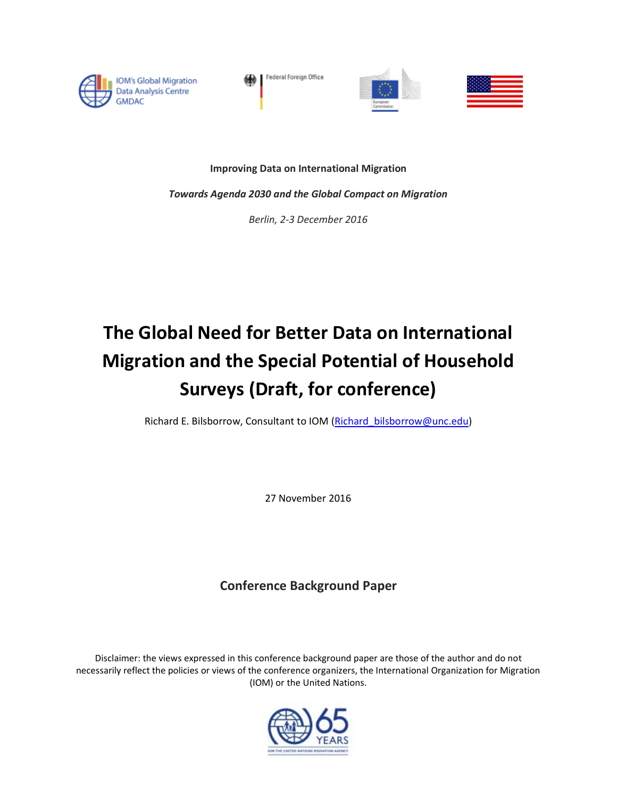

Federal Foreign Office





**Improving Data on International Migration**

*Towards Agenda 2030 and the Global Compact on Migration*

*Berlin, 2-3 December 2016*

# **The Global Need for Better Data on International Migration and the Special Potential of Household Surveys (Draft, for conference)**

Richard E. Bilsborrow, Consultant to IOM (Richard bilsborrow@unc.edu)

27 November 2016

## **Conference Background Paper**

Disclaimer: the views expressed in this conference background paper are those of the author and do not necessarily reflect the policies or views of the conference organizers, the International Organization for Migration (IOM) or the United Nations.

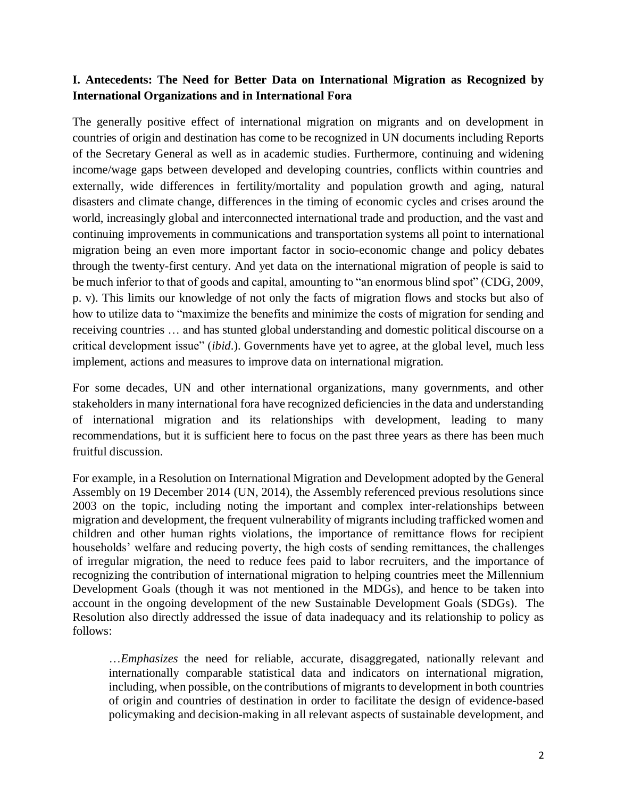#### **I. Antecedents: The Need for Better Data on International Migration as Recognized by International Organizations and in International Fora**

The generally positive effect of international migration on migrants and on development in countries of origin and destination has come to be recognized in UN documents including Reports of the Secretary General as well as in academic studies. Furthermore, continuing and widening income/wage gaps between developed and developing countries, conflicts within countries and externally, wide differences in fertility/mortality and population growth and aging, natural disasters and climate change, differences in the timing of economic cycles and crises around the world, increasingly global and interconnected international trade and production, and the vast and continuing improvements in communications and transportation systems all point to international migration being an even more important factor in socio-economic change and policy debates through the twenty-first century. And yet data on the international migration of people is said to be much inferior to that of goods and capital, amounting to "an enormous blind spot" (CDG, 2009, p. v). This limits our knowledge of not only the facts of migration flows and stocks but also of how to utilize data to "maximize the benefits and minimize the costs of migration for sending and receiving countries … and has stunted global understanding and domestic political discourse on a critical development issue" (*ibid*.). Governments have yet to agree, at the global level, much less implement, actions and measures to improve data on international migration.

For some decades, UN and other international organizations, many governments, and other stakeholders in many international fora have recognized deficiencies in the data and understanding of international migration and its relationships with development, leading to many recommendations, but it is sufficient here to focus on the past three years as there has been much fruitful discussion.

For example, in a Resolution on International Migration and Development adopted by the General Assembly on 19 December 2014 (UN, 2014), the Assembly referenced previous resolutions since 2003 on the topic, including noting the important and complex inter-relationships between migration and development, the frequent vulnerability of migrants including trafficked women and children and other human rights violations, the importance of remittance flows for recipient households' welfare and reducing poverty, the high costs of sending remittances, the challenges of irregular migration, the need to reduce fees paid to labor recruiters, and the importance of recognizing the contribution of international migration to helping countries meet the Millennium Development Goals (though it was not mentioned in the MDGs), and hence to be taken into account in the ongoing development of the new Sustainable Development Goals (SDGs). The Resolution also directly addressed the issue of data inadequacy and its relationship to policy as follows:

…*Emphasizes* the need for reliable, accurate, disaggregated, nationally relevant and internationally comparable statistical data and indicators on international migration, including, when possible, on the contributions of migrants to development in both countries of origin and countries of destination in order to facilitate the design of evidence-based policymaking and decision-making in all relevant aspects of sustainable development, and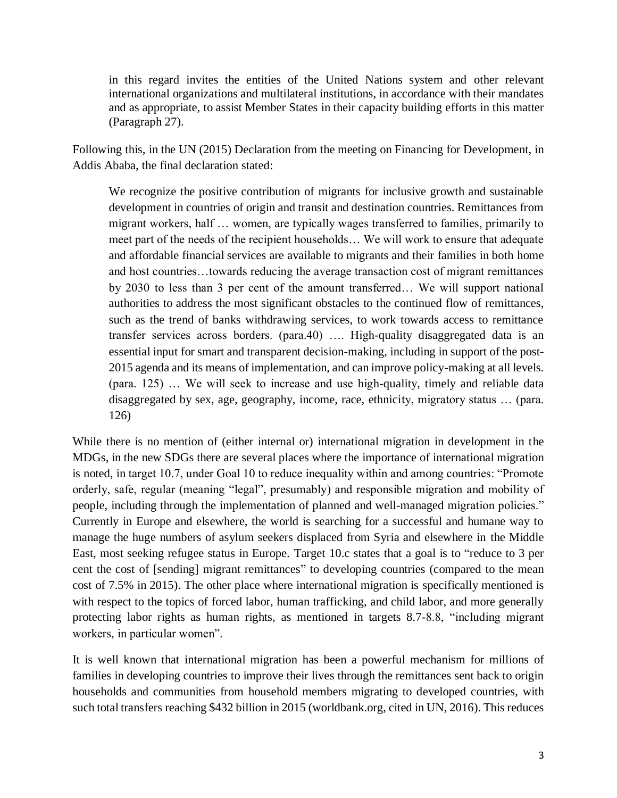in this regard invites the entities of the United Nations system and other relevant international organizations and multilateral institutions, in accordance with their mandates and as appropriate, to assist Member States in their capacity building efforts in this matter (Paragraph 27).

Following this, in the UN (2015) Declaration from the meeting on Financing for Development, in Addis Ababa, the final declaration stated:

We recognize the positive contribution of migrants for inclusive growth and sustainable development in countries of origin and transit and destination countries. Remittances from migrant workers, half … women, are typically wages transferred to families, primarily to meet part of the needs of the recipient households… We will work to ensure that adequate and affordable financial services are available to migrants and their families in both home and host countries…towards reducing the average transaction cost of migrant remittances by 2030 to less than 3 per cent of the amount transferred… We will support national authorities to address the most significant obstacles to the continued flow of remittances, such as the trend of banks withdrawing services, to work towards access to remittance transfer services across borders. (para.40) …. High-quality disaggregated data is an essential input for smart and transparent decision-making, including in support of the post-2015 agenda and its means of implementation, and can improve policy-making at all levels. (para. 125) … We will seek to increase and use high-quality, timely and reliable data disaggregated by sex, age, geography, income, race, ethnicity, migratory status … (para. 126)

While there is no mention of (either internal or) international migration in development in the MDGs, in the new SDGs there are several places where the importance of international migration is noted, in target 10.7, under Goal 10 to reduce inequality within and among countries: "Promote orderly, safe, regular (meaning "legal", presumably) and responsible migration and mobility of people, including through the implementation of planned and well-managed migration policies." Currently in Europe and elsewhere, the world is searching for a successful and humane way to manage the huge numbers of asylum seekers displaced from Syria and elsewhere in the Middle East, most seeking refugee status in Europe. Target 10.c states that a goal is to "reduce to 3 per cent the cost of [sending] migrant remittances" to developing countries (compared to the mean cost of 7.5% in 2015). The other place where international migration is specifically mentioned is with respect to the topics of forced labor, human trafficking, and child labor, and more generally protecting labor rights as human rights, as mentioned in targets 8.7-8.8, "including migrant workers, in particular women".

It is well known that international migration has been a powerful mechanism for millions of families in developing countries to improve their lives through the remittances sent back to origin households and communities from household members migrating to developed countries, with such total transfers reaching \$432 billion in 2015 (worldbank.org, cited in UN, 2016). This reduces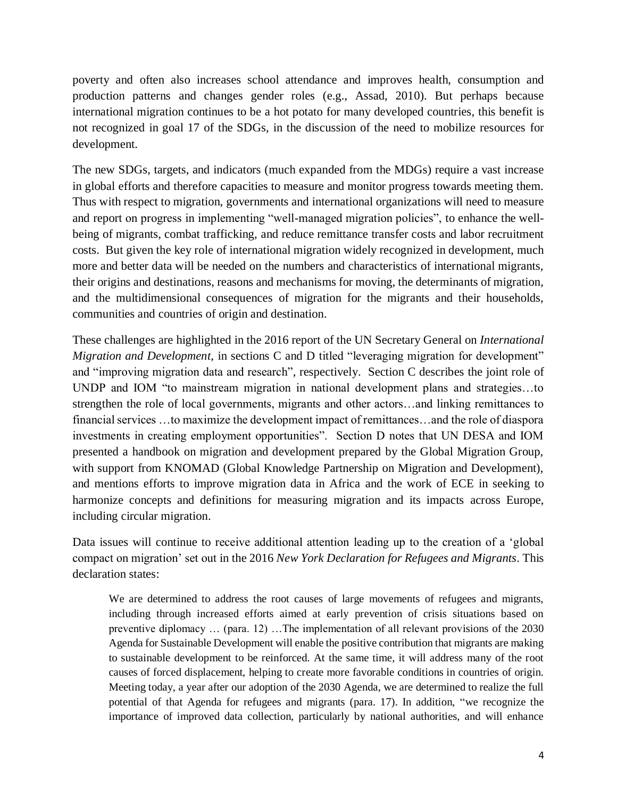poverty and often also increases school attendance and improves health, consumption and production patterns and changes gender roles (e.g., Assad, 2010). But perhaps because international migration continues to be a hot potato for many developed countries, this benefit is not recognized in goal 17 of the SDGs, in the discussion of the need to mobilize resources for development.

The new SDGs, targets, and indicators (much expanded from the MDGs) require a vast increase in global efforts and therefore capacities to measure and monitor progress towards meeting them. Thus with respect to migration, governments and international organizations will need to measure and report on progress in implementing "well-managed migration policies", to enhance the wellbeing of migrants, combat trafficking, and reduce remittance transfer costs and labor recruitment costs. But given the key role of international migration widely recognized in development, much more and better data will be needed on the numbers and characteristics of international migrants, their origins and destinations, reasons and mechanisms for moving, the determinants of migration, and the multidimensional consequences of migration for the migrants and their households, communities and countries of origin and destination.

These challenges are highlighted in the 2016 report of the UN Secretary General on *International Migration and Development*, in sections C and D titled "leveraging migration for development" and "improving migration data and research", respectively. Section C describes the joint role of UNDP and IOM "to mainstream migration in national development plans and strategies…to strengthen the role of local governments, migrants and other actors…and linking remittances to financial services …to maximize the development impact of remittances…and the role of diaspora investments in creating employment opportunities". Section D notes that UN DESA and IOM presented a handbook on migration and development prepared by the Global Migration Group, with support from KNOMAD (Global Knowledge Partnership on Migration and Development), and mentions efforts to improve migration data in Africa and the work of ECE in seeking to harmonize concepts and definitions for measuring migration and its impacts across Europe, including circular migration.

Data issues will continue to receive additional attention leading up to the creation of a 'global compact on migration' set out in the 2016 *New York Declaration for Refugees and Migrants*. This declaration states:

We are determined to address the root causes of large movements of refugees and migrants, including through increased efforts aimed at early prevention of crisis situations based on preventive diplomacy … (para. 12) …The implementation of all relevant provisions of the 2030 Agenda for Sustainable Development will enable the positive contribution that migrants are making to sustainable development to be reinforced. At the same time, it will address many of the root causes of forced displacement, helping to create more favorable conditions in countries of origin. Meeting today, a year after our adoption of the 2030 Agenda, we are determined to realize the full potential of that Agenda for refugees and migrants (para. 17). In addition, "we recognize the importance of improved data collection, particularly by national authorities, and will enhance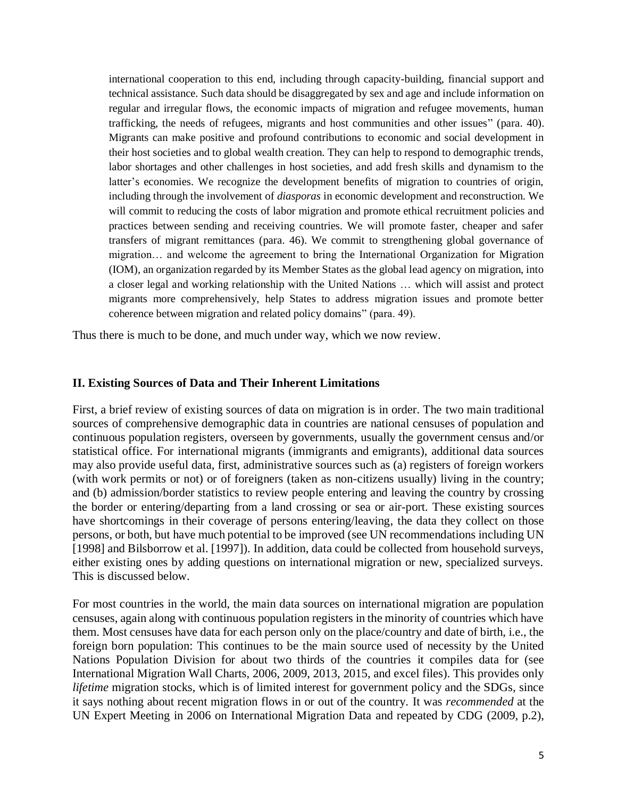international cooperation to this end, including through capacity-building, financial support and technical assistance. Such data should be disaggregated by sex and age and include information on regular and irregular flows, the economic impacts of migration and refugee movements, human trafficking, the needs of refugees, migrants and host communities and other issues" (para. 40). Migrants can make positive and profound contributions to economic and social development in their host societies and to global wealth creation. They can help to respond to demographic trends, labor shortages and other challenges in host societies, and add fresh skills and dynamism to the latter's economies. We recognize the development benefits of migration to countries of origin, including through the involvement of *diasporas* in economic development and reconstruction. We will commit to reducing the costs of labor migration and promote ethical recruitment policies and practices between sending and receiving countries. We will promote faster, cheaper and safer transfers of migrant remittances (para. 46). We commit to strengthening global governance of migration… and welcome the agreement to bring the International Organization for Migration (IOM), an organization regarded by its Member States as the global lead agency on migration, into a closer legal and working relationship with the United Nations … which will assist and protect migrants more comprehensively, help States to address migration issues and promote better coherence between migration and related policy domains" (para. 49).

Thus there is much to be done, and much under way, which we now review.

#### **II. Existing Sources of Data and Their Inherent Limitations**

First, a brief review of existing sources of data on migration is in order. The two main traditional sources of comprehensive demographic data in countries are national censuses of population and continuous population registers, overseen by governments, usually the government census and/or statistical office. For international migrants (immigrants and emigrants), additional data sources may also provide useful data, first, administrative sources such as (a) registers of foreign workers (with work permits or not) or of foreigners (taken as non-citizens usually) living in the country; and (b) admission/border statistics to review people entering and leaving the country by crossing the border or entering/departing from a land crossing or sea or air-port. These existing sources have shortcomings in their coverage of persons entering/leaving, the data they collect on those persons, or both, but have much potential to be improved (see UN recommendations including UN [1998] and Bilsborrow et al. [1997]). In addition, data could be collected from household surveys, either existing ones by adding questions on international migration or new, specialized surveys. This is discussed below.

For most countries in the world, the main data sources on international migration are population censuses, again along with continuous population registers in the minority of countries which have them. Most censuses have data for each person only on the place/country and date of birth, i.e., the foreign born population: This continues to be the main source used of necessity by the United Nations Population Division for about two thirds of the countries it compiles data for (see International Migration Wall Charts, 2006, 2009, 2013, 2015, and excel files). This provides only *lifetime* migration stocks, which is of limited interest for government policy and the SDGs, since it says nothing about recent migration flows in or out of the country. It was *recommended* at the UN Expert Meeting in 2006 on International Migration Data and repeated by CDG (2009, p.2),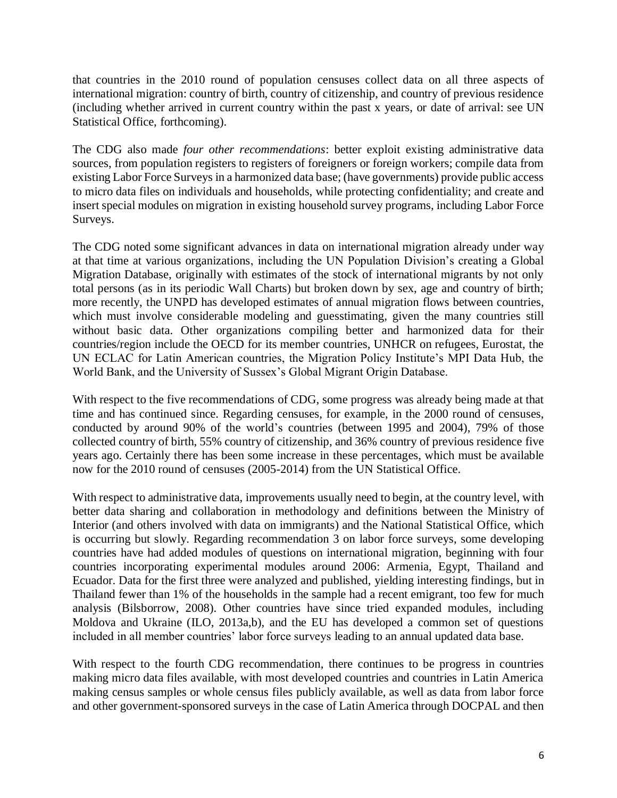that countries in the 2010 round of population censuses collect data on all three aspects of international migration: country of birth, country of citizenship, and country of previous residence (including whether arrived in current country within the past x years, or date of arrival: see UN Statistical Office, forthcoming).

The CDG also made *four other recommendations*: better exploit existing administrative data sources, from population registers to registers of foreigners or foreign workers; compile data from existing Labor Force Surveys in a harmonized data base; (have governments) provide public access to micro data files on individuals and households, while protecting confidentiality; and create and insert special modules on migration in existing household survey programs, including Labor Force Surveys.

The CDG noted some significant advances in data on international migration already under way at that time at various organizations, including the UN Population Division's creating a Global Migration Database, originally with estimates of the stock of international migrants by not only total persons (as in its periodic Wall Charts) but broken down by sex, age and country of birth; more recently, the UNPD has developed estimates of annual migration flows between countries, which must involve considerable modeling and guesstimating, given the many countries still without basic data. Other organizations compiling better and harmonized data for their countries/region include the OECD for its member countries, UNHCR on refugees, Eurostat, the UN ECLAC for Latin American countries, the Migration Policy Institute's MPI Data Hub, the World Bank, and the University of Sussex's Global Migrant Origin Database.

With respect to the five recommendations of CDG, some progress was already being made at that time and has continued since. Regarding censuses, for example, in the 2000 round of censuses, conducted by around 90% of the world's countries (between 1995 and 2004), 79% of those collected country of birth, 55% country of citizenship, and 36% country of previous residence five years ago. Certainly there has been some increase in these percentages, which must be available now for the 2010 round of censuses (2005-2014) from the UN Statistical Office.

With respect to administrative data, improvements usually need to begin, at the country level, with better data sharing and collaboration in methodology and definitions between the Ministry of Interior (and others involved with data on immigrants) and the National Statistical Office, which is occurring but slowly. Regarding recommendation 3 on labor force surveys, some developing countries have had added modules of questions on international migration, beginning with four countries incorporating experimental modules around 2006: Armenia, Egypt, Thailand and Ecuador. Data for the first three were analyzed and published, yielding interesting findings, but in Thailand fewer than 1% of the households in the sample had a recent emigrant, too few for much analysis (Bilsborrow, 2008). Other countries have since tried expanded modules, including Moldova and Ukraine (ILO, 2013a,b), and the EU has developed a common set of questions included in all member countries' labor force surveys leading to an annual updated data base.

With respect to the fourth CDG recommendation, there continues to be progress in countries making micro data files available, with most developed countries and countries in Latin America making census samples or whole census files publicly available, as well as data from labor force and other government-sponsored surveys in the case of Latin America through DOCPAL and then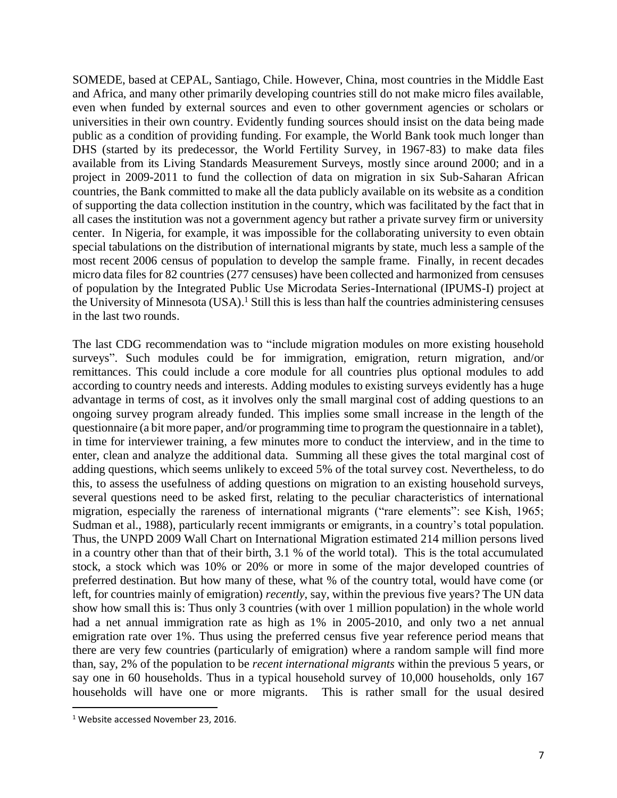SOMEDE, based at CEPAL, Santiago, Chile. However, China, most countries in the Middle East and Africa, and many other primarily developing countries still do not make micro files available, even when funded by external sources and even to other government agencies or scholars or universities in their own country. Evidently funding sources should insist on the data being made public as a condition of providing funding. For example, the World Bank took much longer than DHS (started by its predecessor, the World Fertility Survey, in 1967-83) to make data files available from its Living Standards Measurement Surveys, mostly since around 2000; and in a project in 2009-2011 to fund the collection of data on migration in six Sub-Saharan African countries, the Bank committed to make all the data publicly available on its website as a condition of supporting the data collection institution in the country, which was facilitated by the fact that in all cases the institution was not a government agency but rather a private survey firm or university center. In Nigeria, for example, it was impossible for the collaborating university to even obtain special tabulations on the distribution of international migrants by state, much less a sample of the most recent 2006 census of population to develop the sample frame. Finally, in recent decades micro data files for 82 countries (277 censuses) have been collected and harmonized from censuses of population by the Integrated Public Use Microdata Series-International (IPUMS-I) project at the University of Minnesota (USA).<sup>1</sup> Still this is less than half the countries administering censuses in the last two rounds.

The last CDG recommendation was to "include migration modules on more existing household surveys". Such modules could be for immigration, emigration, return migration, and/or remittances. This could include a core module for all countries plus optional modules to add according to country needs and interests. Adding modules to existing surveys evidently has a huge advantage in terms of cost, as it involves only the small marginal cost of adding questions to an ongoing survey program already funded. This implies some small increase in the length of the questionnaire (a bit more paper, and/or programming time to program the questionnaire in a tablet), in time for interviewer training, a few minutes more to conduct the interview, and in the time to enter, clean and analyze the additional data. Summing all these gives the total marginal cost of adding questions, which seems unlikely to exceed 5% of the total survey cost. Nevertheless, to do this, to assess the usefulness of adding questions on migration to an existing household surveys, several questions need to be asked first, relating to the peculiar characteristics of international migration, especially the rareness of international migrants ("rare elements": see Kish, 1965; Sudman et al., 1988), particularly recent immigrants or emigrants, in a country's total population. Thus, the UNPD 2009 Wall Chart on International Migration estimated 214 million persons lived in a country other than that of their birth, 3.1 % of the world total). This is the total accumulated stock, a stock which was 10% or 20% or more in some of the major developed countries of preferred destination. But how many of these, what % of the country total, would have come (or left, for countries mainly of emigration) *recently*, say, within the previous five years? The UN data show how small this is: Thus only 3 countries (with over 1 million population) in the whole world had a net annual immigration rate as high as 1% in 2005-2010, and only two a net annual emigration rate over 1%. Thus using the preferred census five year reference period means that there are very few countries (particularly of emigration) where a random sample will find more than, say, 2% of the population to be *recent international migrants* within the previous 5 years, or say one in 60 households. Thus in a typical household survey of 10,000 households, only 167 households will have one or more migrants. This is rather small for the usual desired

 $\overline{\phantom{a}}$ 

<sup>&</sup>lt;sup>1</sup> Website accessed November 23, 2016.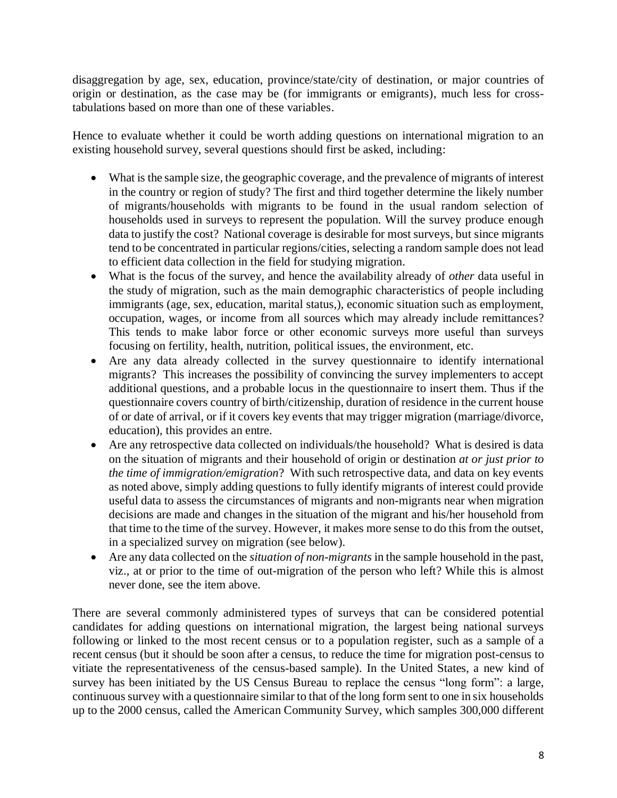disaggregation by age, sex, education, province/state/city of destination, or major countries of origin or destination, as the case may be (for immigrants or emigrants), much less for crosstabulations based on more than one of these variables.

Hence to evaluate whether it could be worth adding questions on international migration to an existing household survey, several questions should first be asked, including:

- What is the sample size, the geographic coverage, and the prevalence of migrants of interest in the country or region of study? The first and third together determine the likely number of migrants/households with migrants to be found in the usual random selection of households used in surveys to represent the population. Will the survey produce enough data to justify the cost? National coverage is desirable for most surveys, but since migrants tend to be concentrated in particular regions/cities, selecting a random sample does not lead to efficient data collection in the field for studying migration.
- What is the focus of the survey, and hence the availability already of *other* data useful in the study of migration, such as the main demographic characteristics of people including immigrants (age, sex, education, marital status,), economic situation such as employment, occupation, wages, or income from all sources which may already include remittances? This tends to make labor force or other economic surveys more useful than surveys focusing on fertility, health, nutrition, political issues, the environment, etc.
- Are any data already collected in the survey questionnaire to identify international migrants? This increases the possibility of convincing the survey implementers to accept additional questions, and a probable locus in the questionnaire to insert them. Thus if the questionnaire covers country of birth/citizenship, duration of residence in the current house of or date of arrival, or if it covers key events that may trigger migration (marriage/divorce, education), this provides an entre.
- Are any retrospective data collected on individuals/the household? What is desired is data on the situation of migrants and their household of origin or destination *at or just prior to the time of immigration/emigration*? With such retrospective data, and data on key events as noted above, simply adding questions to fully identify migrants of interest could provide useful data to assess the circumstances of migrants and non-migrants near when migration decisions are made and changes in the situation of the migrant and his/her household from that time to the time of the survey. However, it makes more sense to do this from the outset, in a specialized survey on migration (see below).
- Are any data collected on the *situation of non-migrants* in the sample household in the past, viz., at or prior to the time of out-migration of the person who left? While this is almost never done, see the item above.

There are several commonly administered types of surveys that can be considered potential candidates for adding questions on international migration, the largest being national surveys following or linked to the most recent census or to a population register, such as a sample of a recent census (but it should be soon after a census, to reduce the time for migration post-census to vitiate the representativeness of the census-based sample). In the United States, a new kind of survey has been initiated by the US Census Bureau to replace the census "long form": a large, continuous survey with a questionnaire similar to that of the long form sent to one in six households up to the 2000 census, called the American Community Survey, which samples 300,000 different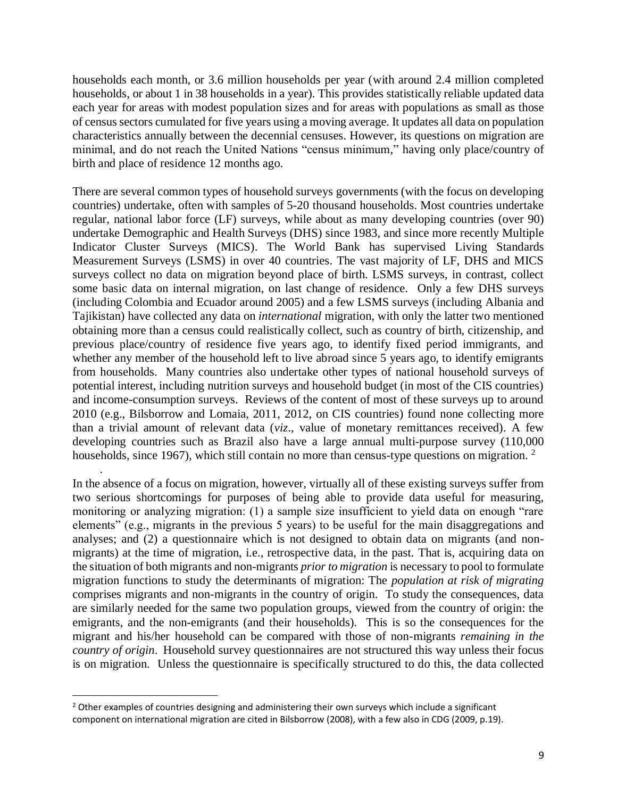households each month, or 3.6 million households per year (with around 2.4 million completed households, or about 1 in 38 households in a year). This provides statistically reliable updated data each year for areas with modest population sizes and for areas with populations as small as those of census sectors cumulated for five years using a moving average. It updates all data on population characteristics annually between the decennial censuses. However, its questions on migration are minimal, and do not reach the United Nations "census minimum," having only place/country of birth and place of residence 12 months ago.

There are several common types of household surveys governments (with the focus on developing countries) undertake, often with samples of 5-20 thousand households. Most countries undertake regular, national labor force (LF) surveys, while about as many developing countries (over 90) undertake Demographic and Health Surveys (DHS) since 1983, and since more recently Multiple Indicator Cluster Surveys (MICS). The World Bank has supervised Living Standards Measurement Surveys (LSMS) in over 40 countries. The vast majority of LF, DHS and MICS surveys collect no data on migration beyond place of birth. LSMS surveys, in contrast, collect some basic data on internal migration, on last change of residence. Only a few DHS surveys (including Colombia and Ecuador around 2005) and a few LSMS surveys (including Albania and Tajikistan) have collected any data on *international* migration, with only the latter two mentioned obtaining more than a census could realistically collect, such as country of birth, citizenship, and previous place/country of residence five years ago, to identify fixed period immigrants, and whether any member of the household left to live abroad since 5 years ago, to identify emigrants from households. Many countries also undertake other types of national household surveys of potential interest, including nutrition surveys and household budget (in most of the CIS countries) and income-consumption surveys. Reviews of the content of most of these surveys up to around 2010 (e.g., Bilsborrow and Lomaia, 2011, 2012, on CIS countries) found none collecting more than a trivial amount of relevant data (*viz*., value of monetary remittances received). A few developing countries such as Brazil also have a large annual multi-purpose survey (110,000 households, since 1967), which still contain no more than census-type questions on migration. <sup>2</sup>

In the absence of a focus on migration, however, virtually all of these existing surveys suffer from two serious shortcomings for purposes of being able to provide data useful for measuring, monitoring or analyzing migration: (1) a sample size insufficient to yield data on enough "rare elements" (e.g., migrants in the previous 5 years) to be useful for the main disaggregations and analyses; and (2) a questionnaire which is not designed to obtain data on migrants (and nonmigrants) at the time of migration, i.e., retrospective data, in the past. That is, acquiring data on the situation of both migrants and non-migrants *prior to migration* is necessary to pool to formulate migration functions to study the determinants of migration: The *population at risk of migrating* comprises migrants and non-migrants in the country of origin. To study the consequences, data are similarly needed for the same two population groups, viewed from the country of origin: the emigrants, and the non-emigrants (and their households). This is so the consequences for the migrant and his/her household can be compared with those of non-migrants *remaining in the country of origin*. Household survey questionnaires are not structured this way unless their focus is on migration. Unless the questionnaire is specifically structured to do this, the data collected

.

 $\overline{\phantom{a}}$ 

<sup>&</sup>lt;sup>2</sup> Other examples of countries designing and administering their own surveys which include a significant component on international migration are cited in Bilsborrow (2008), with a few also in CDG (2009, p.19).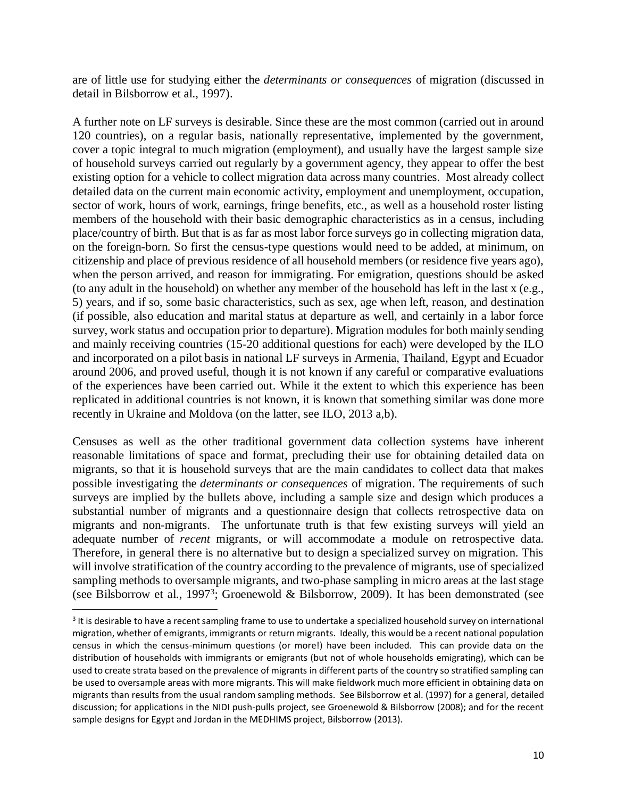are of little use for studying either the *determinants or consequences* of migration (discussed in detail in Bilsborrow et al., 1997).

A further note on LF surveys is desirable. Since these are the most common (carried out in around 120 countries), on a regular basis, nationally representative, implemented by the government, cover a topic integral to much migration (employment), and usually have the largest sample size of household surveys carried out regularly by a government agency, they appear to offer the best existing option for a vehicle to collect migration data across many countries. Most already collect detailed data on the current main economic activity, employment and unemployment, occupation, sector of work, hours of work, earnings, fringe benefits, etc., as well as a household roster listing members of the household with their basic demographic characteristics as in a census, including place/country of birth. But that is as far as most labor force surveys go in collecting migration data, on the foreign-born. So first the census-type questions would need to be added, at minimum, on citizenship and place of previous residence of all household members (or residence five years ago), when the person arrived, and reason for immigrating. For emigration, questions should be asked (to any adult in the household) on whether any member of the household has left in the last x (e.g., 5) years, and if so, some basic characteristics, such as sex, age when left, reason, and destination (if possible, also education and marital status at departure as well, and certainly in a labor force survey, work status and occupation prior to departure). Migration modules for both mainly sending and mainly receiving countries (15-20 additional questions for each) were developed by the ILO and incorporated on a pilot basis in national LF surveys in Armenia, Thailand, Egypt and Ecuador around 2006, and proved useful, though it is not known if any careful or comparative evaluations of the experiences have been carried out. While it the extent to which this experience has been replicated in additional countries is not known, it is known that something similar was done more recently in Ukraine and Moldova (on the latter, see ILO, 2013 a,b).

Censuses as well as the other traditional government data collection systems have inherent reasonable limitations of space and format, precluding their use for obtaining detailed data on migrants, so that it is household surveys that are the main candidates to collect data that makes possible investigating the *determinants or consequences* of migration. The requirements of such surveys are implied by the bullets above, including a sample size and design which produces a substantial number of migrants and a questionnaire design that collects retrospective data on migrants and non-migrants. The unfortunate truth is that few existing surveys will yield an adequate number of *recent* migrants, or will accommodate a module on retrospective data. Therefore, in general there is no alternative but to design a specialized survey on migration. This will involve stratification of the country according to the prevalence of migrants, use of specialized sampling methods to oversample migrants, and two-phase sampling in micro areas at the last stage (see Bilsborrow et al., 1997<sup>3</sup>; Groenewold & Bilsborrow, 2009). It has been demonstrated (see

 $\overline{\phantom{a}}$ 

<sup>&</sup>lt;sup>3</sup> It is desirable to have a recent sampling frame to use to undertake a specialized household survey on international migration, whether of emigrants, immigrants or return migrants. Ideally, this would be a recent national population census in which the census-minimum questions (or more!) have been included. This can provide data on the distribution of households with immigrants or emigrants (but not of whole households emigrating), which can be used to create strata based on the prevalence of migrants in different parts of the country so stratified sampling can be used to oversample areas with more migrants. This will make fieldwork much more efficient in obtaining data on migrants than results from the usual random sampling methods. See Bilsborrow et al. (1997) for a general, detailed discussion; for applications in the NIDI push-pulls project, see Groenewold & Bilsborrow (2008); and for the recent sample designs for Egypt and Jordan in the MEDHIMS project, Bilsborrow (2013).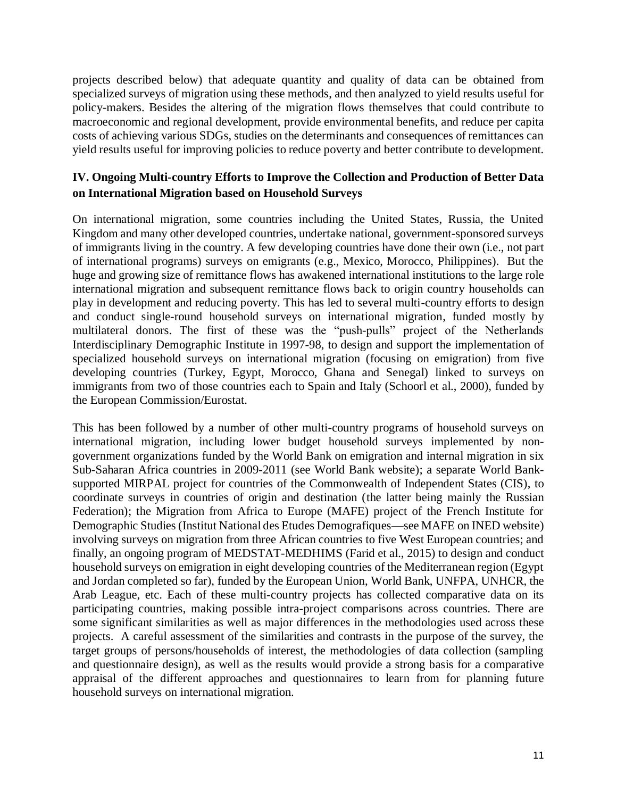projects described below) that adequate quantity and quality of data can be obtained from specialized surveys of migration using these methods, and then analyzed to yield results useful for policy-makers. Besides the altering of the migration flows themselves that could contribute to macroeconomic and regional development, provide environmental benefits, and reduce per capita costs of achieving various SDGs, studies on the determinants and consequences of remittances can yield results useful for improving policies to reduce poverty and better contribute to development.

### **IV. Ongoing Multi-country Efforts to Improve the Collection and Production of Better Data on International Migration based on Household Surveys**

On international migration, some countries including the United States, Russia, the United Kingdom and many other developed countries, undertake national, government-sponsored surveys of immigrants living in the country. A few developing countries have done their own (i.e., not part of international programs) surveys on emigrants (e.g., Mexico, Morocco, Philippines). But the huge and growing size of remittance flows has awakened international institutions to the large role international migration and subsequent remittance flows back to origin country households can play in development and reducing poverty. This has led to several multi-country efforts to design and conduct single-round household surveys on international migration, funded mostly by multilateral donors. The first of these was the "push-pulls" project of the Netherlands Interdisciplinary Demographic Institute in 1997-98, to design and support the implementation of specialized household surveys on international migration (focusing on emigration) from five developing countries (Turkey, Egypt, Morocco, Ghana and Senegal) linked to surveys on immigrants from two of those countries each to Spain and Italy (Schoorl et al., 2000), funded by the European Commission/Eurostat.

This has been followed by a number of other multi-country programs of household surveys on international migration, including lower budget household surveys implemented by nongovernment organizations funded by the World Bank on emigration and internal migration in six Sub-Saharan Africa countries in 2009-2011 (see World Bank website); a separate World Banksupported MIRPAL project for countries of the Commonwealth of Independent States (CIS), to coordinate surveys in countries of origin and destination (the latter being mainly the Russian Federation); the Migration from Africa to Europe (MAFE) project of the French Institute for Demographic Studies (Institut National des Etudes Demografiques—see MAFE on INED website) involving surveys on migration from three African countries to five West European countries; and finally, an ongoing program of MEDSTAT-MEDHIMS (Farid et al., 2015) to design and conduct household surveys on emigration in eight developing countries of the Mediterranean region (Egypt and Jordan completed so far), funded by the European Union, World Bank, UNFPA, UNHCR, the Arab League, etc. Each of these multi-country projects has collected comparative data on its participating countries, making possible intra-project comparisons across countries. There are some significant similarities as well as major differences in the methodologies used across these projects. A careful assessment of the similarities and contrasts in the purpose of the survey, the target groups of persons/households of interest, the methodologies of data collection (sampling and questionnaire design), as well as the results would provide a strong basis for a comparative appraisal of the different approaches and questionnaires to learn from for planning future household surveys on international migration.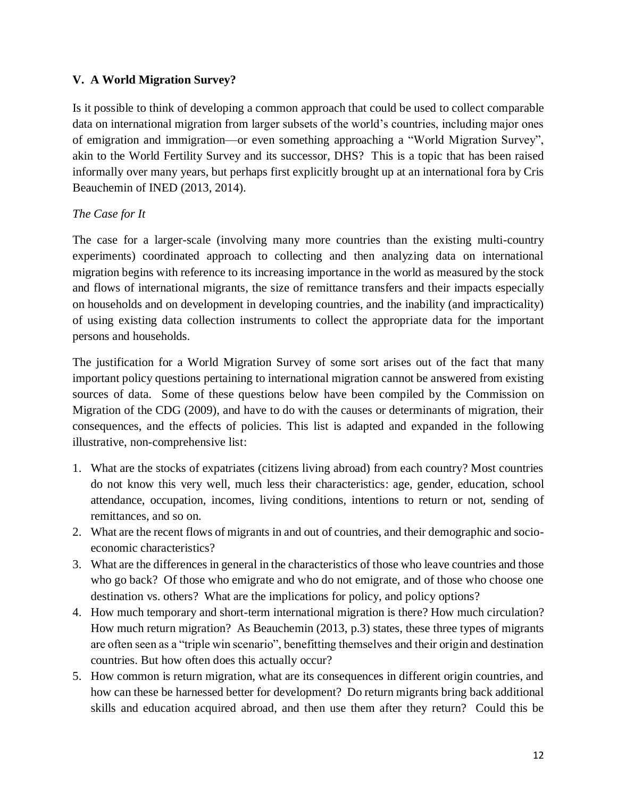#### **V. A World Migration Survey?**

Is it possible to think of developing a common approach that could be used to collect comparable data on international migration from larger subsets of the world's countries, including major ones of emigration and immigration—or even something approaching a "World Migration Survey", akin to the World Fertility Survey and its successor, DHS? This is a topic that has been raised informally over many years, but perhaps first explicitly brought up at an international fora by Cris Beauchemin of INED (2013, 2014).

#### *The Case for It*

The case for a larger-scale (involving many more countries than the existing multi-country experiments) coordinated approach to collecting and then analyzing data on international migration begins with reference to its increasing importance in the world as measured by the stock and flows of international migrants, the size of remittance transfers and their impacts especially on households and on development in developing countries, and the inability (and impracticality) of using existing data collection instruments to collect the appropriate data for the important persons and households.

The justification for a World Migration Survey of some sort arises out of the fact that many important policy questions pertaining to international migration cannot be answered from existing sources of data. Some of these questions below have been compiled by the Commission on Migration of the CDG (2009), and have to do with the causes or determinants of migration, their consequences, and the effects of policies. This list is adapted and expanded in the following illustrative, non-comprehensive list:

- 1. What are the stocks of expatriates (citizens living abroad) from each country? Most countries do not know this very well, much less their characteristics: age, gender, education, school attendance, occupation, incomes, living conditions, intentions to return or not, sending of remittances, and so on.
- 2. What are the recent flows of migrants in and out of countries, and their demographic and socioeconomic characteristics?
- 3. What are the differences in general in the characteristics of those who leave countries and those who go back? Of those who emigrate and who do not emigrate, and of those who choose one destination vs. others? What are the implications for policy, and policy options?
- 4. How much temporary and short-term international migration is there? How much circulation? How much return migration? As Beauchemin (2013, p.3) states, these three types of migrants are often seen as a "triple win scenario", benefitting themselves and their origin and destination countries. But how often does this actually occur?
- 5. How common is return migration, what are its consequences in different origin countries, and how can these be harnessed better for development? Do return migrants bring back additional skills and education acquired abroad, and then use them after they return? Could this be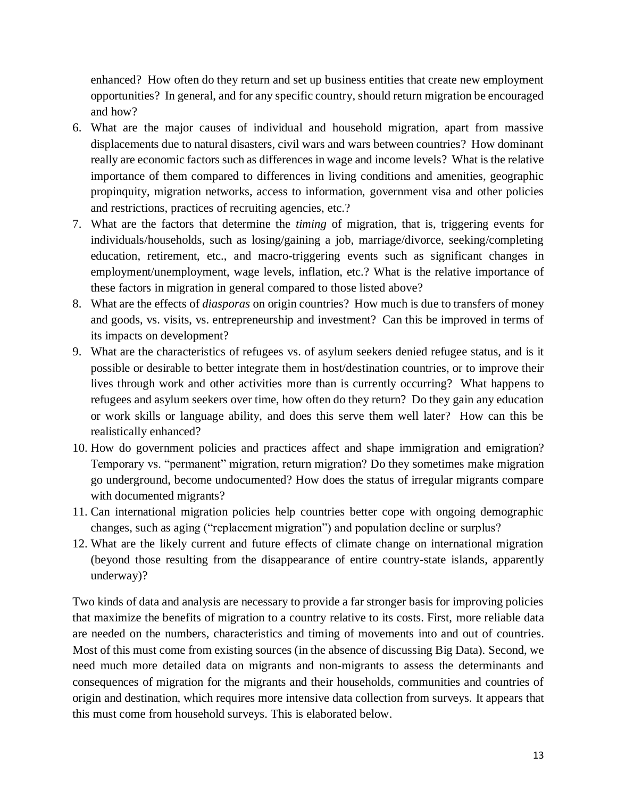enhanced? How often do they return and set up business entities that create new employment opportunities? In general, and for any specific country, should return migration be encouraged and how?

- 6. What are the major causes of individual and household migration, apart from massive displacements due to natural disasters, civil wars and wars between countries? How dominant really are economic factors such as differences in wage and income levels? What is the relative importance of them compared to differences in living conditions and amenities, geographic propinquity, migration networks, access to information, government visa and other policies and restrictions, practices of recruiting agencies, etc.?
- 7. What are the factors that determine the *timing* of migration, that is, triggering events for individuals/households, such as losing/gaining a job, marriage/divorce, seeking/completing education, retirement, etc., and macro-triggering events such as significant changes in employment/unemployment, wage levels, inflation, etc.? What is the relative importance of these factors in migration in general compared to those listed above?
- 8. What are the effects of *diasporas* on origin countries? How much is due to transfers of money and goods, vs. visits, vs. entrepreneurship and investment? Can this be improved in terms of its impacts on development?
- 9. What are the characteristics of refugees vs. of asylum seekers denied refugee status, and is it possible or desirable to better integrate them in host/destination countries, or to improve their lives through work and other activities more than is currently occurring? What happens to refugees and asylum seekers over time, how often do they return? Do they gain any education or work skills or language ability, and does this serve them well later? How can this be realistically enhanced?
- 10. How do government policies and practices affect and shape immigration and emigration? Temporary vs. "permanent" migration, return migration? Do they sometimes make migration go underground, become undocumented? How does the status of irregular migrants compare with documented migrants?
- 11. Can international migration policies help countries better cope with ongoing demographic changes, such as aging ("replacement migration") and population decline or surplus?
- 12. What are the likely current and future effects of climate change on international migration (beyond those resulting from the disappearance of entire country-state islands, apparently underway)?

Two kinds of data and analysis are necessary to provide a far stronger basis for improving policies that maximize the benefits of migration to a country relative to its costs. First, more reliable data are needed on the numbers, characteristics and timing of movements into and out of countries. Most of this must come from existing sources (in the absence of discussing Big Data). Second, we need much more detailed data on migrants and non-migrants to assess the determinants and consequences of migration for the migrants and their households, communities and countries of origin and destination, which requires more intensive data collection from surveys. It appears that this must come from household surveys. This is elaborated below.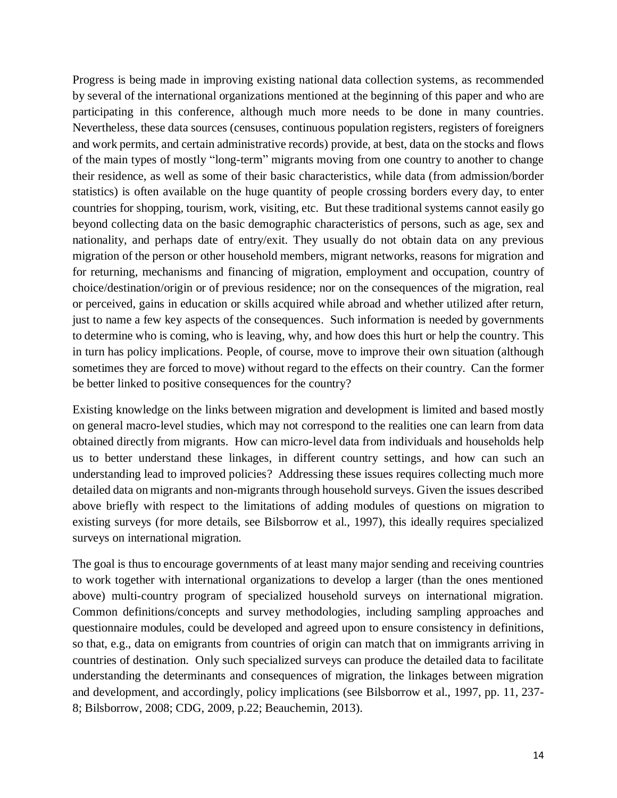Progress is being made in improving existing national data collection systems, as recommended by several of the international organizations mentioned at the beginning of this paper and who are participating in this conference, although much more needs to be done in many countries. Nevertheless, these data sources (censuses, continuous population registers, registers of foreigners and work permits, and certain administrative records) provide, at best, data on the stocks and flows of the main types of mostly "long-term" migrants moving from one country to another to change their residence, as well as some of their basic characteristics, while data (from admission/border statistics) is often available on the huge quantity of people crossing borders every day, to enter countries for shopping, tourism, work, visiting, etc. But these traditional systems cannot easily go beyond collecting data on the basic demographic characteristics of persons, such as age, sex and nationality, and perhaps date of entry/exit. They usually do not obtain data on any previous migration of the person or other household members, migrant networks, reasons for migration and for returning, mechanisms and financing of migration, employment and occupation, country of choice/destination/origin or of previous residence; nor on the consequences of the migration, real or perceived, gains in education or skills acquired while abroad and whether utilized after return, just to name a few key aspects of the consequences. Such information is needed by governments to determine who is coming, who is leaving, why, and how does this hurt or help the country. This in turn has policy implications. People, of course, move to improve their own situation (although sometimes they are forced to move) without regard to the effects on their country. Can the former be better linked to positive consequences for the country?

Existing knowledge on the links between migration and development is limited and based mostly on general macro-level studies, which may not correspond to the realities one can learn from data obtained directly from migrants. How can micro-level data from individuals and households help us to better understand these linkages, in different country settings, and how can such an understanding lead to improved policies? Addressing these issues requires collecting much more detailed data on migrants and non-migrants through household surveys. Given the issues described above briefly with respect to the limitations of adding modules of questions on migration to existing surveys (for more details, see Bilsborrow et al., 1997), this ideally requires specialized surveys on international migration.

The goal is thus to encourage governments of at least many major sending and receiving countries to work together with international organizations to develop a larger (than the ones mentioned above) multi-country program of specialized household surveys on international migration. Common definitions/concepts and survey methodologies, including sampling approaches and questionnaire modules, could be developed and agreed upon to ensure consistency in definitions, so that, e.g., data on emigrants from countries of origin can match that on immigrants arriving in countries of destination. Only such specialized surveys can produce the detailed data to facilitate understanding the determinants and consequences of migration, the linkages between migration and development, and accordingly, policy implications (see Bilsborrow et al., 1997, pp. 11, 237- 8; Bilsborrow, 2008; CDG, 2009, p.22; Beauchemin, 2013).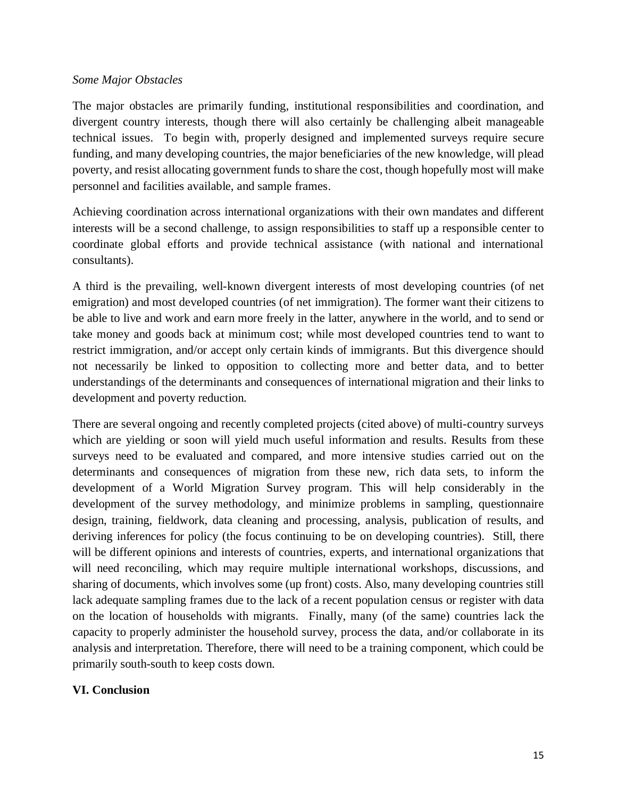#### *Some Major Obstacles*

The major obstacles are primarily funding, institutional responsibilities and coordination, and divergent country interests, though there will also certainly be challenging albeit manageable technical issues. To begin with, properly designed and implemented surveys require secure funding, and many developing countries, the major beneficiaries of the new knowledge, will plead poverty, and resist allocating government funds to share the cost, though hopefully most will make personnel and facilities available, and sample frames.

Achieving coordination across international organizations with their own mandates and different interests will be a second challenge, to assign responsibilities to staff up a responsible center to coordinate global efforts and provide technical assistance (with national and international consultants).

A third is the prevailing, well-known divergent interests of most developing countries (of net emigration) and most developed countries (of net immigration). The former want their citizens to be able to live and work and earn more freely in the latter, anywhere in the world, and to send or take money and goods back at minimum cost; while most developed countries tend to want to restrict immigration, and/or accept only certain kinds of immigrants. But this divergence should not necessarily be linked to opposition to collecting more and better data, and to better understandings of the determinants and consequences of international migration and their links to development and poverty reduction.

There are several ongoing and recently completed projects (cited above) of multi-country surveys which are yielding or soon will yield much useful information and results. Results from these surveys need to be evaluated and compared, and more intensive studies carried out on the determinants and consequences of migration from these new, rich data sets, to inform the development of a World Migration Survey program. This will help considerably in the development of the survey methodology, and minimize problems in sampling, questionnaire design, training, fieldwork, data cleaning and processing, analysis, publication of results, and deriving inferences for policy (the focus continuing to be on developing countries). Still, there will be different opinions and interests of countries, experts, and international organizations that will need reconciling, which may require multiple international workshops, discussions, and sharing of documents, which involves some (up front) costs. Also, many developing countries still lack adequate sampling frames due to the lack of a recent population census or register with data on the location of households with migrants. Finally, many (of the same) countries lack the capacity to properly administer the household survey, process the data, and/or collaborate in its analysis and interpretation. Therefore, there will need to be a training component, which could be primarily south-south to keep costs down.

#### **VI. Conclusion**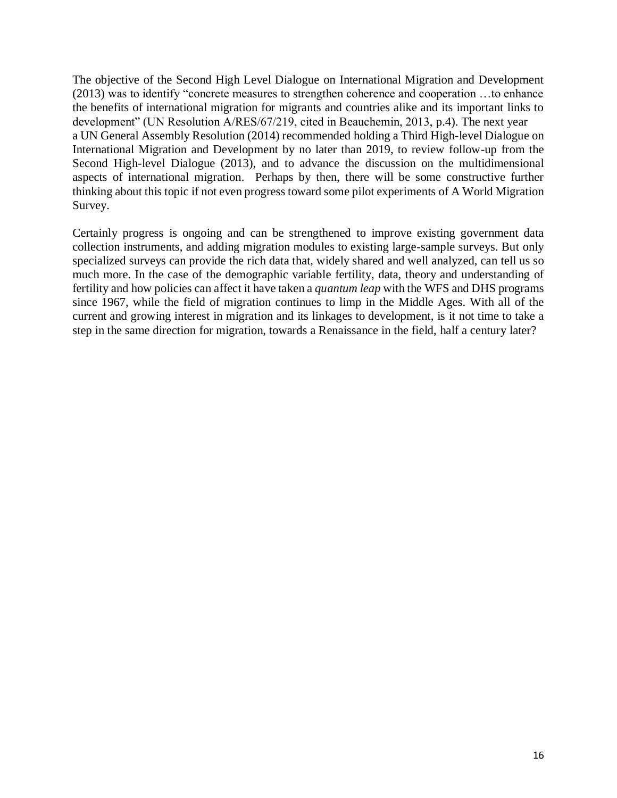The objective of the Second High Level Dialogue on International Migration and Development (2013) was to identify "concrete measures to strengthen coherence and cooperation …to enhance the benefits of international migration for migrants and countries alike and its important links to development" (UN Resolution A/RES/67/219, cited in Beauchemin, 2013, p.4). The next year a UN General Assembly Resolution (2014) recommended holding a Third High-level Dialogue on International Migration and Development by no later than 2019, to review follow-up from the Second High-level Dialogue (2013), and to advance the discussion on the multidimensional aspects of international migration. Perhaps by then, there will be some constructive further thinking about this topic if not even progress toward some pilot experiments of A World Migration Survey.

Certainly progress is ongoing and can be strengthened to improve existing government data collection instruments, and adding migration modules to existing large-sample surveys. But only specialized surveys can provide the rich data that, widely shared and well analyzed, can tell us so much more. In the case of the demographic variable fertility, data, theory and understanding of fertility and how policies can affect it have taken a *quantum leap* with the WFS and DHS programs since 1967, while the field of migration continues to limp in the Middle Ages. With all of the current and growing interest in migration and its linkages to development, is it not time to take a step in the same direction for migration, towards a Renaissance in the field, half a century later?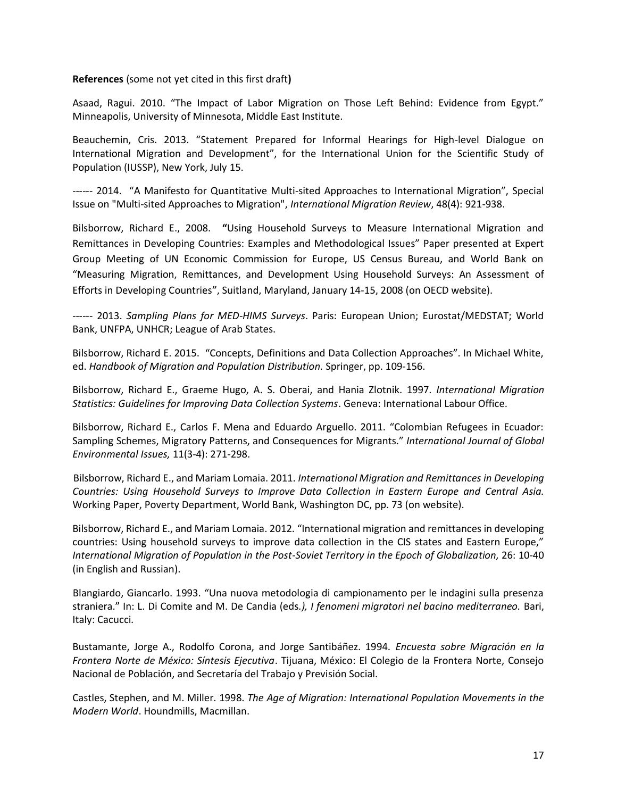#### **References** (some not yet cited in this first draft**)**

Asaad, Ragui. 2010. "The Impact of Labor Migration on Those Left Behind: Evidence from Egypt." Minneapolis, University of Minnesota, Middle East Institute.

Beauchemin, Cris. 2013. "Statement Prepared for Informal Hearings for High-level Dialogue on International Migration and Development", for the International Union for the Scientific Study of Population (IUSSP), New York, July 15.

------ 2014. "A Manifesto for Quantitative Multi-sited Approaches to International Migration", Special Issue on "Multi-sited Approaches to Migration", *International Migration Review*, 48(4): 921-938.

Bilsborrow, Richard E., 2008. **"**Using Household Surveys to Measure International Migration and Remittances in Developing Countries: Examples and Methodological Issues" Paper presented at Expert Group Meeting of UN Economic Commission for Europe, US Census Bureau, and World Bank on "Measuring Migration, Remittances, and Development Using Household Surveys: An Assessment of Efforts in Developing Countries", Suitland, Maryland, January 14-15, 2008 (on OECD website).

------ 2013. *Sampling Plans for MED-HIMS Surveys*. Paris: European Union; Eurostat/MEDSTAT; World Bank, UNFPA, UNHCR; League of Arab States.

Bilsborrow, Richard E. 2015. "Concepts, Definitions and Data Collection Approaches". In Michael White, ed. *Handbook of Migration and Population Distribution.* Springer, pp. 109-156.

Bilsborrow, Richard E., Graeme Hugo, A. S. Oberai, and Hania Zlotnik. 1997. *International Migration Statistics: Guidelines for Improving Data Collection Systems*. Geneva: International Labour Office.

Bilsborrow, Richard E., Carlos F. Mena and Eduardo Arguello. 2011. "Colombian Refugees in Ecuador: Sampling Schemes, Migratory Patterns, and Consequences for Migrants." *International Journal of Global Environmental Issues,* 11(3-4): 271-298.

Bilsborrow, Richard E., and Mariam Lomaia. 2011. *International Migration and Remittances in Developing Countries: Using Household Surveys to Improve Data Collection in Eastern Europe and Central Asia.*  Working Paper, Poverty Department, World Bank, Washington DC, pp. 73 (on website).

Bilsborrow, Richard E., and Mariam Lomaia. 2012. "International migration and remittances in developing countries: Using household surveys to improve data collection in the CIS states and Eastern Europe," *International Migration of Population in the Post-Soviet Territory in the Epoch of Globalization,* 26: 10-40 (in English and Russian).

Blangiardo, Giancarlo. 1993. "Una nuova metodologia di campionamento per le indagini sulla presenza straniera." In: L. Di Comite and M. De Candia (eds*.), I fenomeni migratori nel bacino mediterraneo.* Bari, Italy: Cacucci*.*

Bustamante, Jorge A., Rodolfo Corona, and Jorge Santibáñez. 1994. *Encuesta sobre Migración en la Frontera Norte de México: Síntesis Ejecutiva*. Tijuana, México: El Colegio de la Frontera Norte, Consejo Nacional de Población, and Secretaría del Trabajo y Previsión Social.

Castles, Stephen, and M. Miller. 1998. *The Age of Migration: International Population Movements in the Modern World*. Houndmills, Macmillan.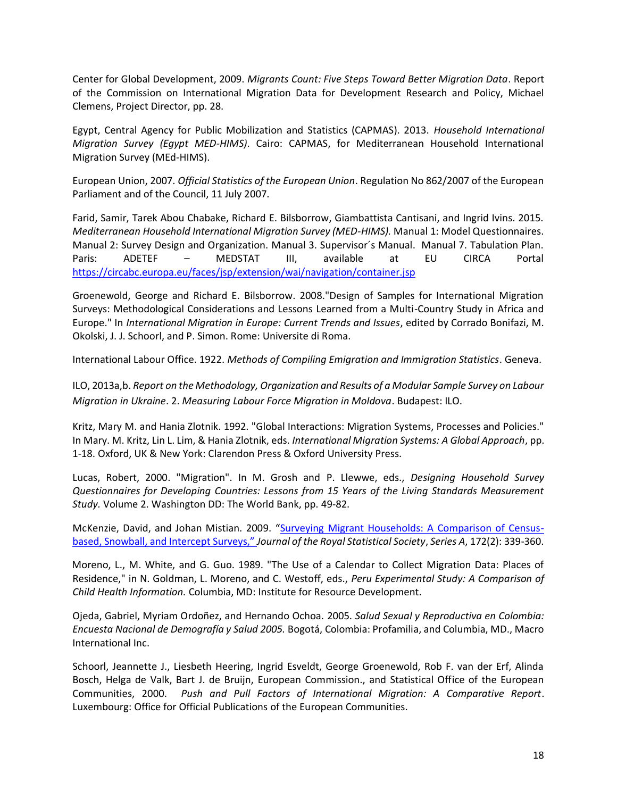Center for Global Development, 2009. *Migrants Count: Five Steps Toward Better Migration Data*. Report of the Commission on International Migration Data for Development Research and Policy, Michael Clemens, Project Director, pp. 28.

Egypt, Central Agency for Public Mobilization and Statistics (CAPMAS). 2013. *Household International Migration Survey (Egypt MED-HIMS)*. Cairo: CAPMAS, for Mediterranean Household International Migration Survey (MEd-HIMS).

European Union, 2007. *Official Statistics of the European Union*. Regulation No 862/2007 of the European Parliament and of the Council, 11 July 2007.

Farid, Samir, Tarek Abou Chabake, Richard E. Bilsborrow, Giambattista Cantisani, and Ingrid Ivins. 2015. *Mediterranean Household International Migration Survey (MED-HIMS).* Manual 1: Model Questionnaires. Manual 2: Survey Design and Organization. Manual 3. Supervisor´s Manual. Manual 7. Tabulation Plan. Paris: ADETEF – MEDSTAT III, available at EU CIRCA Portal <https://circabc.europa.eu/faces/jsp/extension/wai/navigation/container.jsp>

Groenewold, George and Richard E. Bilsborrow. 2008."Design of Samples for International Migration Surveys: Methodological Considerations and Lessons Learned from a Multi-Country Study in Africa and Europe." In *International Migration in Europe: Current Trends and Issues*, edited by Corrado Bonifazi, M. Okolski, J. J. Schoorl, and P. Simon. Rome: Universite di Roma.

International Labour Office. 1922. *Methods of Compiling Emigration and Immigration Statistics*. Geneva.

ILO, 2013a,b. *Report on the Methodology, Organization and Results of a Modular Sample Survey on Labour Migration in Ukraine*. 2. *Measuring Labour Force Migration in Moldova*. Budapest: ILO.

Kritz, Mary M. and Hania Zlotnik. 1992. "Global Interactions: Migration Systems, Processes and Policies." In Mary. M. Kritz, Lin L. Lim, & Hania Zlotnik, eds. *International Migration Systems: A Global Approach*, pp. 1-18. Oxford, UK & New York: Clarendon Press & Oxford University Press.

Lucas, Robert, 2000. "Migration". In M. Grosh and P. Llewwe, eds., *Designing Household Survey Questionnaires for Developing Countries: Lessons from 15 Years of the Living Standards Measurement Study.* Volume 2. Washington DD: The World Bank, pp. 49-82.

McKenzie, David, and Johan Mistian. 2009. "[Surveying Migrant Households: A Comparison of Census](http://siteresources.worldbank.org/INTFR/Resources/McKenziewps4419.pdf)[based, Snowball, and Intercept Surveys,"](http://siteresources.worldbank.org/INTFR/Resources/McKenziewps4419.pdf) *Journal of the Royal Statistical Society*, *Series A*, 172(2): 339-360.

Moreno, L., M. White, and G. Guo. 1989. "The Use of a Calendar to Collect Migration Data: Places of Residence," in N. Goldman, L. Moreno, and C. Westoff, eds., *Peru Experimental Study: A Comparison of Child Health Information.* Columbia, MD: Institute for Resource Development.

Ojeda, Gabriel, Myriam Ordoñez, and Hernando Ochoa. 2005. *Salud Sexual y Reproductiva en Colombia: Encuesta Nacional de Demografía y Salud 2005.* Bogotá, Colombia: Profamilia, and Columbia, MD., Macro International Inc.

Schoorl, Jeannette J., Liesbeth Heering, Ingrid Esveldt, George Groenewold, Rob F. van der Erf, Alinda Bosch, Helga de Valk, Bart J. de Bruijn, European Commission., and Statistical Office of the European Communities, 2000. *Push and Pull Factors of International Migration: A Comparative Report*. Luxembourg: Office for Official Publications of the European Communities.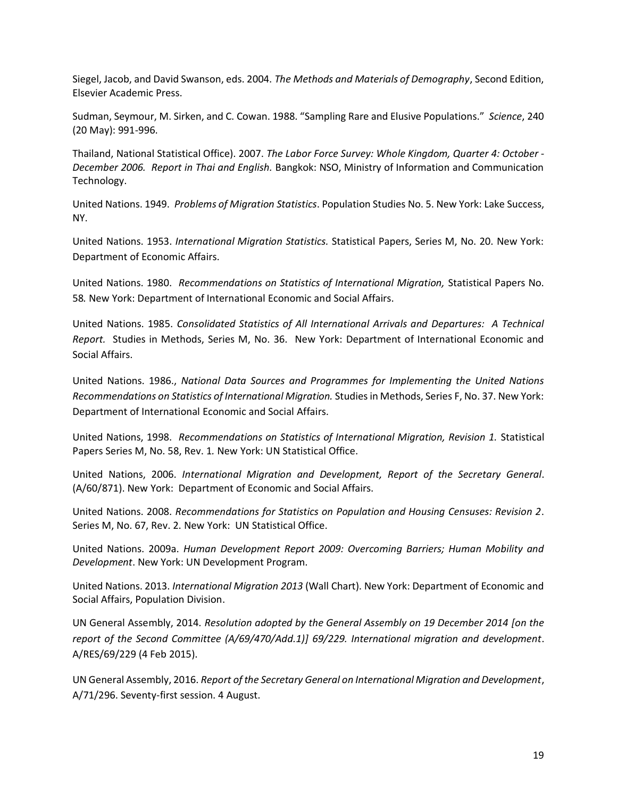Siegel, Jacob, and David Swanson, eds. 2004. *The Methods and Materials of Demography*, Second Edition, Elsevier Academic Press.

Sudman, Seymour, M. Sirken, and C. Cowan. 1988. "Sampling Rare and Elusive Populations." *Science*, 240 (20 May): 991-996.

Thailand, National Statistical Office). 2007. *The Labor Force Survey: Whole Kingdom, Quarter 4: October - December 2006. Report in Thai and English.* Bangkok: NSO, Ministry of Information and Communication Technology.

United Nations. 1949. *Problems of Migration Statistics*. Population Studies No. 5. New York: Lake Success, NY.

United Nations. 1953. *International Migration Statistics.* Statistical Papers, Series M, No. 20. New York: Department of Economic Affairs.

United Nations. 1980. *Recommendations on Statistics of International Migration,* Statistical Papers No. 58*.* New York: Department of International Economic and Social Affairs.

United Nations. 1985. *Consolidated Statistics of All International Arrivals and Departures: A Technical Report.* Studies in Methods, Series M, No. 36. New York: Department of International Economic and Social Affairs.

United Nations. 1986., *National Data Sources and Programmes for Implementing the United Nations Recommendations on Statistics of International Migration.* Studies in Methods, Series F, No. 37. New York: Department of International Economic and Social Affairs.

United Nations, 1998. *Recommendations on Statistics of International Migration, Revision 1.* Statistical Papers Series M, No. 58, Rev. 1*.* New York: UN Statistical Office.

United Nations, 2006. *International Migration and Development, Report of the Secretary General*. (A/60/871). New York: Department of Economic and Social Affairs.

United Nations. 2008. *Recommendations for Statistics on Population and Housing Censuses: Revision 2*. Series M, No. 67, Rev. 2. New York: UN Statistical Office.

United Nations. 2009a. *Human Development Report 2009: Overcoming Barriers; Human Mobility and Development*. New York: UN Development Program.

United Nations. 2013. *International Migration 2013* (Wall Chart). New York: Department of Economic and Social Affairs, Population Division.

UN General Assembly, 2014. *Resolution adopted by the General Assembly on 19 December 2014 [on the report of the Second Committee (A/69/470/Add.1)] 69/229. International migration and development*. A/RES/69/229 (4 Feb 2015).

UN General Assembly, 2016. *Report of the Secretary General on International Migration and Development*, A/71/296. Seventy-first session. 4 August.